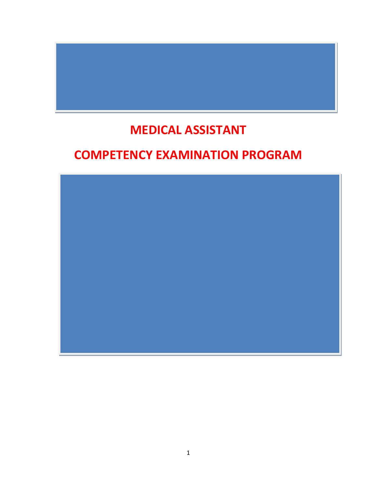# **MEDICAL ASSISTANT**

# **COMPETENCY EXAMINATION PROGRAM**

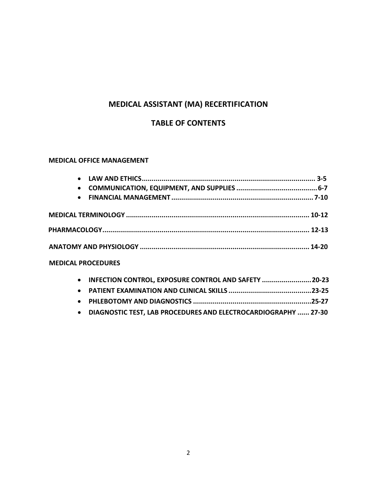# **MEDICAL ASSISTANT (MA) RECERTIFICATION**

### **TABLE OF CONTENTS**

#### **MEDICAL OFFICE MANAGEMENT**

| $\bullet$                 |                                                       |  |
|---------------------------|-------------------------------------------------------|--|
| $\bullet$                 |                                                       |  |
| $\bullet$                 |                                                       |  |
|                           |                                                       |  |
|                           |                                                       |  |
|                           |                                                       |  |
| <b>MEDICAL PROCEDURES</b> |                                                       |  |
| $\bullet$                 | INFECTION CONTROL, EXPOSURE CONTROL AND SAFETY  20-23 |  |

• **[DIAGNOSTIC TEST, LAB PROCEDURES](#page-27-0) AND ELECTROCARDIOGRAPHY ...... 27-30**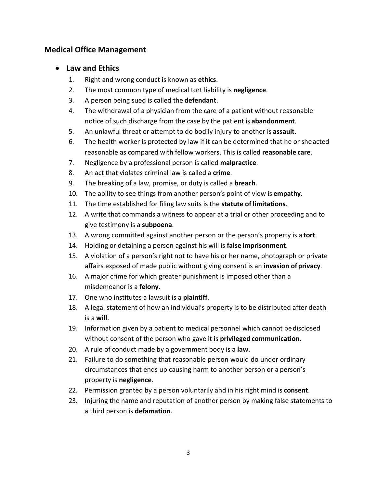# <span id="page-2-0"></span>**Medical Office Management**

### • **Law and Ethics**

- 1. Right and wrong conduct is known as **ethics**.
- 2. The most common type of medical tort liability is **negligence**.
- 3. A person being sued is called the **defendant**.
- 4. The withdrawal of a physician from the care of a patient without reasonable notice of such discharge from the case by the patient is **abandonment**.
- 5. An unlawful threat or attempt to do bodily injury to another is **assault**.
- 6. The health worker is protected by law if it can be determined that he or sheacted reasonable as compared with fellow workers. This is called **reasonable care**.
- 7. Negligence by a professional person is called **malpractice**.
- 8. An act that violates criminal law is called a **crime**.
- 9. The breaking of a law, promise, or duty is called a **breach**.
- 10. The ability to see things from another person's point of view is **empathy**.
- 11. The time established for filing law suits is the **statute of limitations**.
- 12. A write that commands a witness to appear at a trial or other proceeding and to give testimony is a **subpoena**.
- 13. A wrong committed against another person or the person's property is a **tort**.
- 14. Holding or detaining a person against his will is **false imprisonment**.
- 15. A violation of a person's right not to have his or her name, photograph or private affairs exposed of made public without giving consent is an **invasion of privacy**.
- 16. A major crime for which greater punishment is imposed other than a misdemeanor is a **felony**.
- 17. One who institutes a lawsuit is a **plaintiff**.
- 18. A legal statement of how an individual's property is to be distributed after death is a **will**.
- 19. Information given by a patient to medical personnel which cannot bedisclosed without consent of the person who gave it is **privileged communication**.
- 20. A rule of conduct made by a government body is a **law**.
- 21. Failure to do something that reasonable person would do under ordinary circumstances that ends up causing harm to another person or a person's property is **negligence**.
- 22. Permission granted by a person voluntarily and in his right mind is **consent**.
- 23. Injuring the name and reputation of another person by making false statements to a third person is **defamation**.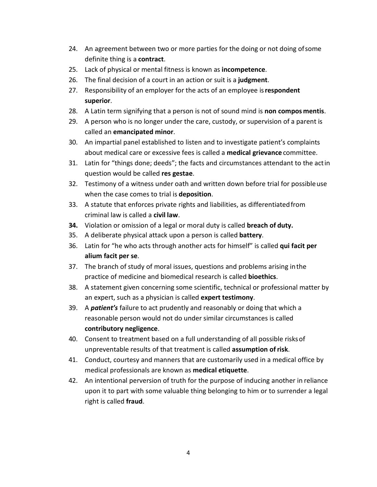- 24. An agreement between two or more parties for the doing or not doing ofsome definite thing is a **contract**.
- 25. Lack of physical or mental fitness is known as **incompetence**.
- 26. The final decision of a court in an action or suit is a **judgment**.
- 27. Responsibility of an employer for the acts of an employee is**respondent superior**.
- 28. A Latin term signifying that a person is not of sound mind is **non compos mentis**.
- 29. A person who is no longer under the care, custody, or supervision of a parent is called an **emancipated minor**.
- 30. An impartial panel established to listen and to investigate patient's complaints about medical care or excessive fees is called a **medical grievance** committee.
- 31. Latin for "things done; deeds"; the facts and circumstances attendant to the actin question would be called **res gestae**.
- 32. Testimony of a witness under oath and written down before trial for possibleuse when the case comes to trial is **deposition**.
- 33. A statute that enforces private rights and liabilities, as differentiatedfrom criminal law is called a **civil law**.
- **34.** Violation or omission of a legal or moral duty is called **breach of duty.**
- 35. A deliberate physical attack upon a person is called **battery**.
- 36. Latin for "he who acts through another acts for himself" is called **qui facit per alium facit per se**.
- 37. The branch of study of moral issues, questions and problems arising inthe practice of medicine and biomedical research is called **bioethics**.
- 38. A statement given concerning some scientific, technical or professional matter by an expert, such as a physician is called **expert testimony**.
- 39. A *patient's* failure to act prudently and reasonably or doing that which a reasonable person would not do under similar circumstances is called **contributory negligence**.
- 40. Consent to treatment based on a full understanding of all possible risksof unpreventable results of that treatment is called **assumption ofrisk**.
- 41. Conduct, courtesy and manners that are customarily used in a medical office by medical professionals are known as **medical etiquette**.
- 42. An intentional perversion of truth for the purpose of inducing another in reliance upon it to part with some valuable thing belonging to him or to surrender a legal right is called **fraud**.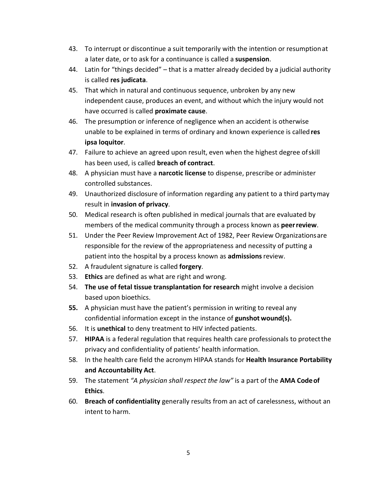- 43. To interrupt or discontinue a suit temporarily with the intention or resumptionat a later date, or to ask for a continuance is called a **suspension**.
- 44. Latin for "things decided" that is a matter already decided by a judicial authority is called **res judicata**.
- 45. That which in natural and continuous sequence, unbroken by any new independent cause, produces an event, and without which the injury would not have occurred is called **proximate cause**.
- 46. The presumption or inference of negligence when an accident is otherwise unable to be explained in terms of ordinary and known experience is called **res ipsa loquitor**.
- 47. Failure to achieve an agreed upon result, even when the highest degree ofskill has been used, is called **breach of contract**.
- 48. A physician must have a **narcotic license** to dispense, prescribe or administer controlled substances.
- 49. Unauthorized disclosure of information regarding any patient to a third partymay result in **invasion of privacy**.
- 50. Medical research is often published in medical journals that are evaluated by members of the medical community through a process known as **peerreview**.
- 51. Under the Peer Review Improvement Act of 1982, Peer Review Organizationsare responsible for the review of the appropriateness and necessity of putting a patient into the hospital by a process known as **admissions**review.
- 52. A fraudulent signature is called **forgery**.
- 53. **Ethics** are defined as what are right and wrong.
- 54. **The use of fetal tissue transplantation for research** might involve a decision based upon bioethics.
- **55.** A physician must have the patient's permission in writing to reveal any confidential information except in the instance of **gunshot wound(s).**
- 56. It is **unethical** to deny treatment to HIV infected patients.
- 57. **HIPAA** is a federal regulation that requires health care professionals to protectthe privacy and confidentiality of patients' health information.
- 58. In the health care field the acronym HIPAA stands for **Health Insurance Portability and Accountability Act**.
- 59. The statement *"A physician shall respect the law"* is a part of the **AMA Codeof Ethics**.
- 60. **Breach of confidentiality** generally results from an act of carelessness, without an intent to harm.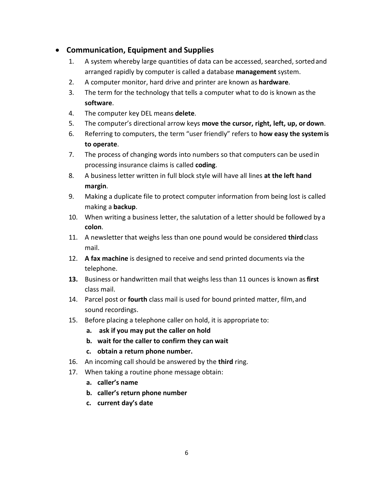# <span id="page-5-0"></span>• **Communication, Equipment and Supplies**

- 1. A system whereby large quantities of data can be accessed, searched, sortedand arranged rapidly by computer is called a database **management**system.
- 2. A computer monitor, hard drive and printer are known as **hardware**.
- 3. The term for the technology that tells a computer what to do is known asthe **software**.
- 4. The computer key DEL means **delete**.
- 5. The computer's directional arrow keys **move the cursor, right, left, up, or down**.
- 6. Referring to computers, the term "user friendly" refers to **how easy the systemis to operate**.
- 7. The process of changing words into numbers so that computers can be usedin processing insurance claims is called **coding**.
- 8. A business letter written in full block style will have all lines **at the left hand margin**.
- 9. Making a duplicate file to protect computer information from being lost is called making a **backup**.
- 10. When writing a business letter, the salutation of a letter should be followed by a **colon**.
- 11. A newsletter that weighs less than one pound would be considered **third**class mail.
- 12. **A fax machine** is designed to receive and send printed documents via the telephone.
- **13.** Business or handwritten mail that weighs less than 11 ounces is known as**first** class mail.
- 14. Parcel post or **fourth** class mail is used for bound printed matter, film,and sound recordings.
- 15. Before placing a telephone caller on hold, it is appropriate to:
	- **a. ask if you may put the caller on hold**
	- **b. wait for the caller to confirm they can wait**
	- **c. obtain a return phone number.**
- 16. An incoming call should be answered by the **third** ring.
- 17. When taking a routine phone message obtain:
	- **a. caller's name**
	- **b. caller's return phone number**
	- **c. current day's date**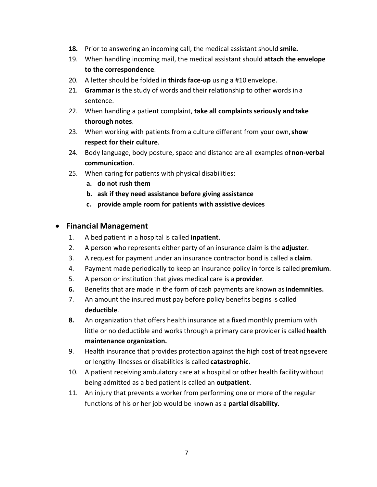- **18.** Prior to answering an incoming call, the medical assistant should **smile.**
- 19. When handling incoming mail, the medical assistant should **attach the envelope to the correspondence**.
- 20. A letter should be folded in **thirds face-up** using a #10 envelope.
- 21. **Grammar** is the study of words and their relationship to other words in a sentence.
- 22. When handling a patient complaint, **take all complaints seriously andtake thorough notes**.
- 23. When working with patients from a culture different from your own,**show respect for their culture**.
- 24. Body language, body posture, space and distance are all examples of**non-verbal communication**.
- 25. When caring for patients with physical disabilities:
	- **a. do not rush them**
	- **b. ask if they need assistance before giving assistance**
	- **c. provide ample room for patients with assistive devices**

### <span id="page-6-0"></span>• **Financial Management**

- 1. A bed patient in a hospital is called **inpatient**.
- 2. A person who represents either party of an insurance claim is the **adjuster**.
- 3. A request for payment under an insurance contractor bond is called a **claim**.
- 4. Payment made periodically to keep an insurance policy in force is called **premium**.
- 5. A person or institution that gives medical care is a **provider**.
- **6.** Benefits that are made in the form of cash payments are known as**indemnities.**
- 7. An amount the insured must pay before policy benefits begins is called **deductible**.
- **8.** An organization that offers health insurance at a fixed monthly premium with little or no deductible and works through a primary care provider is called**health maintenance organization.**
- 9. Health insurance that provides protection against the high cost of treatingsevere or lengthy illnesses or disabilities is called **catastrophic**.
- 10. A patient receiving ambulatory care at a hospital or other health facilitywithout being admitted as a bed patient is called an **outpatient**.
- 11. An injury that prevents a worker from performing one or more of the regular functions of his or her job would be known as a **partial disability**.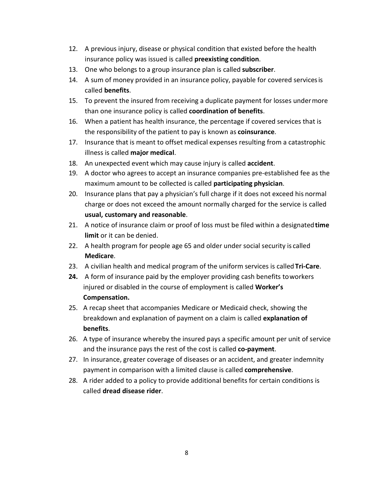- 12. A previous injury, disease or physical condition that existed before the health insurance policy was issued is called **preexisting condition**.
- 13. One who belongs to a group insurance plan is called **subscriber**.
- 14. A sum of money provided in an insurance policy, payable for covered servicesis called **benefits**.
- 15. To prevent the insured from receiving a duplicate payment for losses undermore than one insurance policy is called **coordination of benefits**.
- 16. When a patient has health insurance, the percentage if covered services that is the responsibility of the patient to pay is known as **coinsurance**.
- 17. Insurance that is meant to offset medical expenses resulting from a catastrophic illness is called **major medical**.
- 18. An unexpected event which may cause injury is called **accident**.
- 19. A doctor who agrees to accept an insurance companies pre-established fee as the maximum amount to be collected is called **participating physician**.
- 20. Insurance plans that pay a physician's full charge if it does not exceed his normal charge or does not exceed the amount normally charged for the service is called **usual, customary and reasonable**.
- 21. A notice of insurance claim or proof of loss must be filed within a designated**time limit** or it can be denied.
- 22. A health program for people age 65 and older under social security is called **Medicare**.
- 23. A civilian health and medical program of the uniform services is called **Tri-Care**.
- **24.** A form of insurance paid by the employer providing cash benefits toworkers injured or disabled in the course of employment is called **Worker's Compensation.**
- 25. A recap sheet that accompanies Medicare or Medicaid check, showing the breakdown and explanation of payment on a claim is called **explanation of benefits**.
- 26. A type of insurance whereby the insured pays a specific amount per unit of service and the insurance pays the rest of the cost is called **co-payment**.
- 27. In insurance, greater coverage of diseases or an accident, and greater indemnity payment in comparison with a limited clause is called **comprehensive**.
- 28. A rider added to a policy to provide additional benefits for certain conditions is called **dread disease rider**.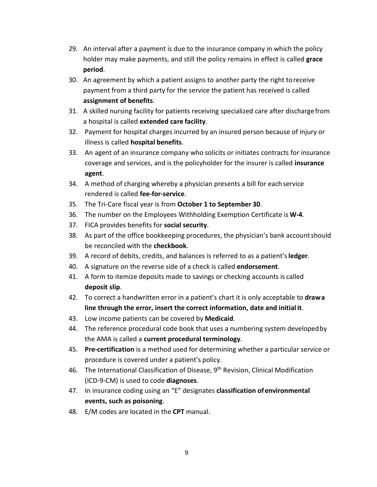- 29. An interval after a payment is due to the insurance company in which the policy holder may make payments, and still the policy remains in effect is called **grace period**.
- 30. An agreement by which a patient assigns to another party the right toreceive payment from a third party for the service the patient has received is called **assignment of benefits**.
- 31. A skilled nursing facility for patients receiving specialized care after dischargefrom a hospital is called **extended care facility**.
- 32. Payment for hospital charges incurred by an insured person because of injury or illness is called **hospital benefits**.
- 33. An agent of an insurance company who solicits or initiates contracts for insurance coverage and services, and is the policyholder for the insurer is called **insurance agent**.
- 34. A method of charging whereby a physician presents a bill for each service rendered is called **fee-for-service**.
- 35. The Tri-Care fiscal year is from **October 1 to September 30**.
- 36. The number on the Employees Withholding Exemption Certificate is **W-4**.
- 37. FICA provides benefits for **social security**.
- 38. As part of the office bookkeeping procedures, the physician's bank accountshould be reconciled with the **checkbook**.
- 39. A record of debits, credits, and balances is referred to as a patient's**ledger**.
- 40. A signature on the reverse side of a check is called **endorsement**.
- 41. A form to itemize deposits made to savings or checking accounts is called **deposit slip**.
- 42. To correct a handwritten error in a patient's chart it is only acceptable to **drawa line through the error, insert the correct information, date and initial it**.
- 43. Low income patients can be covered by **Medicaid**.
- 44. The reference procedural code book that uses a numbering system developedby the AMA is called a **current procedural terminology**.
- 45. **Pre-certification** is a method used for determining whether a particular service or procedure is covered under a patient's policy.
- 46. The International Classification of Disease, 9<sup>th</sup> Revision, Clinical Modification (ICD-9-CM) is used to code **diagnoses**.
- 47. In insurance coding using an "E" designates **classification ofenvironmental events, such as poisoning**.
- 48. E/M codes are located in the **CPT** manual.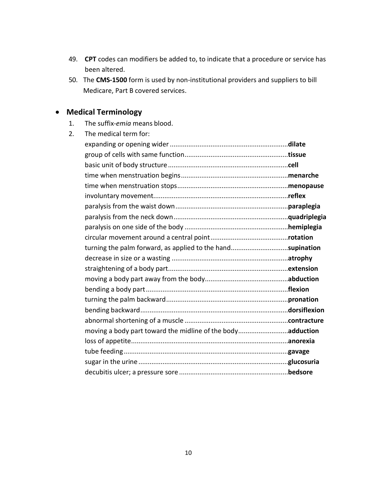- 49. **CPT** codes can modifiers be added to, to indicate that a procedure or service has been altered.
- 50. The **CMS-1500** form is used by non-institutional providers and suppliers to bill Medicare, Part B covered services.

# <span id="page-9-0"></span>• **Medical Terminology**

1. The suffix-*emia* means blood.

| 2. | The medical term for:                                      |  |
|----|------------------------------------------------------------|--|
|    |                                                            |  |
|    |                                                            |  |
|    |                                                            |  |
|    |                                                            |  |
|    |                                                            |  |
|    |                                                            |  |
|    |                                                            |  |
|    |                                                            |  |
|    |                                                            |  |
|    |                                                            |  |
|    | turning the palm forward, as applied to the handsupination |  |
|    |                                                            |  |
|    |                                                            |  |
|    |                                                            |  |
|    |                                                            |  |
|    |                                                            |  |
|    |                                                            |  |
|    |                                                            |  |
|    | moving a body part toward the midline of the bodyadduction |  |
|    |                                                            |  |
|    |                                                            |  |
|    |                                                            |  |
|    |                                                            |  |
|    |                                                            |  |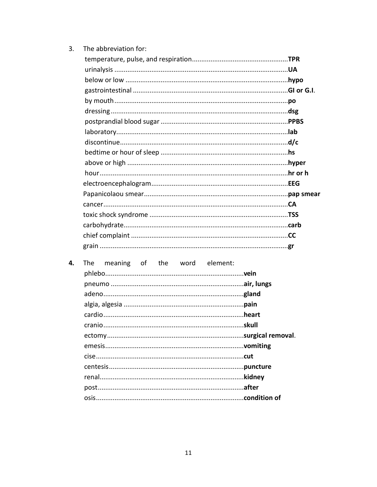| 3. | The abbreviation for:                  |  |
|----|----------------------------------------|--|
|    |                                        |  |
|    |                                        |  |
|    |                                        |  |
|    |                                        |  |
|    |                                        |  |
|    |                                        |  |
|    |                                        |  |
|    |                                        |  |
|    |                                        |  |
|    |                                        |  |
|    |                                        |  |
|    |                                        |  |
|    |                                        |  |
|    |                                        |  |
|    |                                        |  |
|    |                                        |  |
|    |                                        |  |
|    |                                        |  |
|    |                                        |  |
|    |                                        |  |
| 4. | of the word element:<br>The<br>meaning |  |
|    |                                        |  |
|    |                                        |  |
|    |                                        |  |
|    |                                        |  |
|    |                                        |  |
|    |                                        |  |
|    |                                        |  |
|    |                                        |  |
|    |                                        |  |
|    |                                        |  |
|    |                                        |  |
|    |                                        |  |
|    |                                        |  |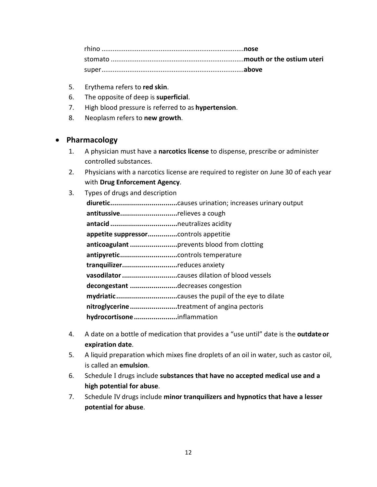rhino .............................................................................**nose** stomato ........................................................................**mouth or the ostium uteri** super.............................................................................**above**

- 5. Erythema refers to **red skin**.
- 6. The opposite of deep is **superficial**.
- 7. High blood pressure is referred to as **hypertension**.
- 8. Neoplasm refers to **new growth**.

### <span id="page-11-0"></span>• **Pharmacology**

- 1. A physician must have a **narcotics license** to dispense, prescribe or administer controlled substances.
- 2. Physicians with a narcotics license are required to register on June 30 of each year with **Drug Enforcement Agency**.
- 3. Types of drugs and description **diuretic..................................**causes urination; increases urinary output **antitussive.............................**relieves a cough **antacid..................................**neutralizes acidity **appetite suppressor...............**controls appetitie **anticoagulant........................**prevents blood from clotting **antipyretic.............................**controls temperature **tranquilizer............................**reduces anxiety **vasodilator............................**causes dilation of blood vessels **decongestant ........................**decreases congestion **mydriatic...............................**causes the pupil of the eye to dilate **nitroglycerine........................**treatment of angina pectoris **hydrocortisone......................**inflammation
- 4. A date on a bottle of medication that provides a "use until" date is the **outdateor expiration date**.
- 5. A liquid preparation which mixes fine droplets of an oil in water, such as castor oil, is called an **emulsion**.
- 6. Schedule I drugs include **substances that have no accepted medical use and a high potential for abuse**.
- 7. Schedule IV drugs include **minor tranquilizers and hypnotics that have a lesser potential for abuse**.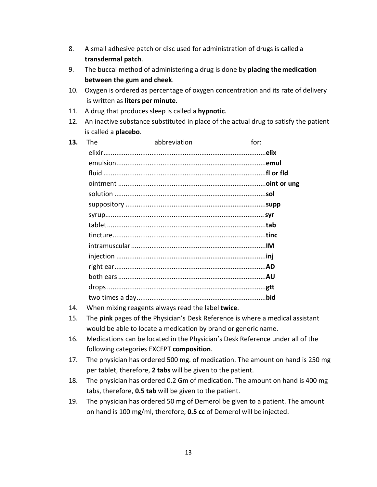- 8. A small adhesive patch or disc used for administration of drugs is called a **transdermal patch**.
- 9. The buccal method of administering a drug is done by **placing the medication between the gum and cheek**.
- 10. Oxygen is ordered as percentage of oxygen concentration and its rate of delivery is written as **liters per minute**.
- 11. A drug that produces sleep is called a **hypnotic**.
- 12. An inactive substance substituted in place of the actual drug to satisfy the patient is called a **placebo**.

| 13. | <b>The</b> | abbreviation | for: |
|-----|------------|--------------|------|
|     |            |              |      |
|     |            |              |      |
|     |            |              |      |
|     |            |              |      |
|     |            |              |      |
|     |            |              |      |
|     |            |              |      |
|     |            |              |      |
|     |            |              |      |
|     |            |              |      |
|     |            |              |      |
|     |            |              |      |
|     |            |              |      |
|     |            |              |      |
|     |            |              |      |
|     |            |              |      |

- 14. When mixing reagents always read the label **twice**.
- 15. The **pink** pages of the Physician's Desk Reference is where a medical assistant would be able to locate a medication by brand or generic name.
- 16. Medications can be located in the Physician's Desk Reference under all of the following categories EXCEPT **composition**.
- 17. The physician has ordered 500 mg. of medication. The amount on hand is 250 mg per tablet, therefore, **2 tabs** will be given to the patient.
- 18. The physician has ordered 0.2 Gm of medication. The amount on hand is 400 mg tabs, therefore, **0.5 tab** will be given to the patient.
- 19. The physician has ordered 50 mg of Demerol be given to a patient. The amount on hand is 100 mg/ml, therefore, **0.5 cc** of Demerol will be injected.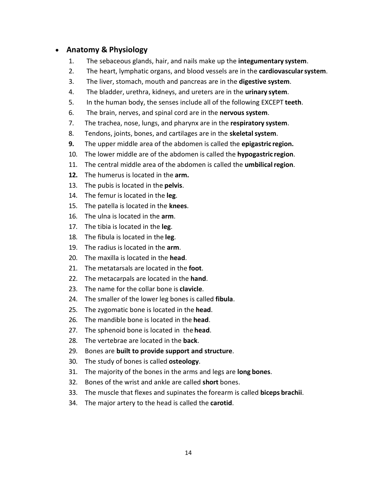### • **Anatomy & Physiology**

- 1. The sebaceous glands, hair, and nails make up the **integumentary system**.
- 2. The heart, lymphatic organs, and blood vessels are in the **cardiovascularsystem**.
- 3. The liver, stomach, mouth and pancreas are in the **digestive system**.
- 4. The bladder, urethra, kidneys, and ureters are in the **urinary sytem**.
- 5. In the human body, the senses include all of the following EXCEPT **teeth**.
- 6. The brain, nerves, and spinal cord are in the **nervous system**.
- 7. The trachea, nose, lungs, and pharynx are in the **respiratory system**.
- 8. Tendons, joints, bones, and cartilages are in the **skeletalsystem**.
- **9.** The upper middle area of the abdomen is called the **epigastric region.**
- 10. The lower middle are of the abdomen is called the **hypogastric region**.
- 11. The central middle area of the abdomen is called the **umbilicalregion**.
- **12.** The humerus is located in the **arm.**
- 13. The pubis is located in the **pelvis**.
- 14. The femur is located in the **leg**.
- 15. The patella is located in the **knees**.
- 16. The ulna is located in the **arm**.
- 17. The tibia is located in the **leg**.
- 18. The fibula is located in the **leg**.
- 19. The radius is located in the **arm**.
- 20. The maxilla is located in the **head**.
- 21. The metatarsals are located in the **foot**.
- 22. The metacarpals are located in the **hand**.
- 23. The name for the collar bone is **clavicle**.
- 24. The smaller of the lower leg bones is called **fibula**.
- 25. The zygomatic bone is located in the **head**.
- 26. The mandible bone is located in the **head**.
- 27. The sphenoid bone is located in the **head**.
- 28. The vertebrae are located in the **back**.
- 29. Bones are **built to provide support and structure**.
- 30. The study of bones is called **osteology**.
- 31. The majority of the bones in the arms and legs are **long bones**.
- 32. Bones of the wrist and ankle are called **short** bones.
- 33. The muscle that flexes and supinates the forearm is called **biceps brachii**.
- 34. The major artery to the head is called the **carotid**.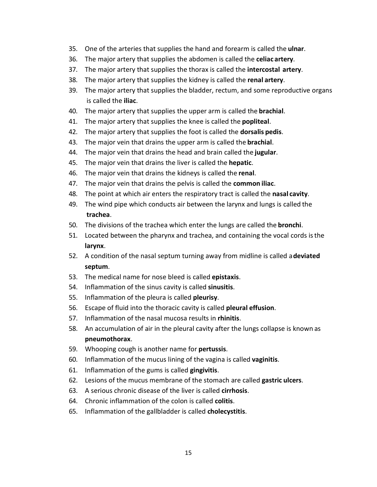- 35. One of the arteries that supplies the hand and forearm is called the **ulnar**.
- 36. The major artery that supplies the abdomen is called the **celiac artery**.
- 37. The major artery that supplies the thorax is called the **intercostal artery**.
- 38. The major artery that supplies the kidney is called the **renal artery**.
- 39. The major artery that supplies the bladder, rectum, and some reproductive organs is called the **iliac**.
- 40. The major artery that supplies the upper arm is called the **brachial**.
- 41. The major artery that supplies the knee is called the **popliteal**.
- 42. The major artery that supplies the foot is called the **dorsalis pedis**.
- 43. The major vein that drains the upper arm is called the **brachial**.
- 44. The major vein that drains the head and brain called the **jugular**.
- 45. The major vein that drains the liver is called the **hepatic**.
- 46. The major vein that drains the kidneys is called the **renal**.
- 47. The major vein that drains the pelvis is called the **common iliac**.
- 48. The point at which air enters the respiratory tract is called the **nasal cavity**.
- 49. The wind pipe which conducts air between the larynx and lungs is called the **trachea**.
- 50. The divisions of the trachea which enter the lungs are called the **bronchi**.
- 51. Located between the pharynx and trachea, and containing the vocal cords isthe **larynx**.
- 52. A condition of the nasal septum turning away from midline is called a**deviated septum**.
- 53. The medical name for nose bleed is called **epistaxis**.
- 54. Inflammation of the sinus cavity is called **sinusitis**.
- 55. Inflammation of the pleura is called **pleurisy**.
- 56. Escape of fluid into the thoracic cavity is called **pleural effusion**.
- 57. Inflammation of the nasal mucosa results in **rhinitis**.
- 58. An accumulation of air in the pleural cavity after the lungs collapse is known as **pneumothorax**.
- 59. Whooping cough is another name for **pertussis**.
- 60. Inflammation of the mucus lining of the vagina is called **vaginitis**.
- 61. Inflammation of the gums is called **gingivitis**.
- 62. Lesions of the mucus membrane of the stomach are called **gastric ulcers**.
- 63. A serious chronic disease of the liver is called **cirrhosis**.
- 64. Chronic inflammation of the colon is called **colitis**.
- 65. Inflammation of the gallbladder is called **cholecystitis**.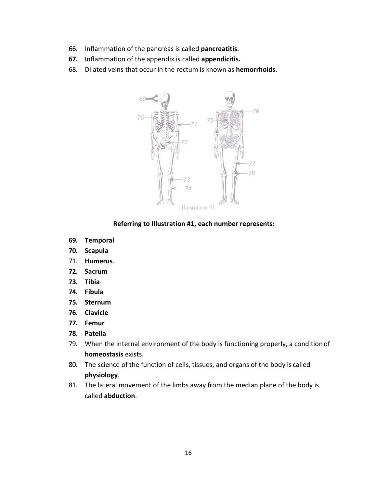- 66. Inflammation of the pancreas is called **pancreatitis**.
- **67.** Inflammation of the appendix is called **appendicitis.**
- 68. Dilated veins that occur in the rectum is known as **hemorrhoids**.



**Referring to Illustration #1, each number represents:**

- **69. Temporal**
- **70. Scapula**
- 71. **Humerus**.
- **72. Sacrum**
- **73. Tibia**
- **74. Fibula**
- **75. Sternum**
- **76. Clavicle**
- **77. Femur**
- **78. Patella**
- 79. When the internal environment of the body is functioning properly, a condition of **homeostasis** exists.
- 80. The science of the function of cells, tissues, and organs of the body is called **physiology**.
- 81. The lateral movement of the limbs away from the median plane of the body is called **abduction**.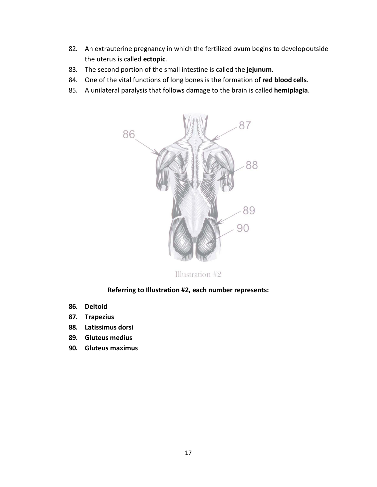- 82. An extrauterine pregnancy in which the fertilized ovum begins to developoutside the uterus is called **ectopic**.
- 83. The second portion of the small intestine is called the **jejunum**.
- 84. One of the vital functions of long bones is the formation of **red blood cells**.
- 85. A unilateral paralysis that follows damage to the brain is called **hemiplagia**.



Illustration #2

#### **Referring to Illustration #2, each number represents:**

- **86. Deltoid**
- **87. Trapezius**
- **88. Latissimus dorsi**
- **89. Gluteus medius**
- **90. Gluteus maximus**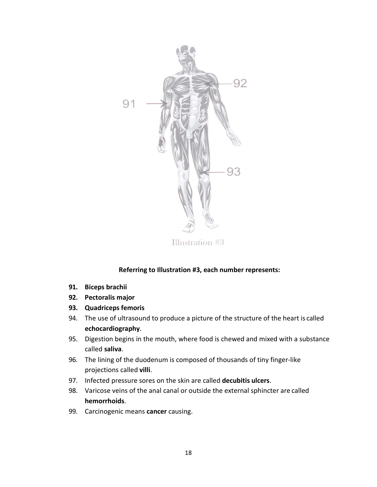

Illustration #3

### **Referring to Illustration #3, each number represents:**

- **91. Biceps brachii**
- **92. Pectoralis major**
- **93. Quadriceps femoris**
- 94. The use of ultrasound to produce a picture of the structure of the heart is called **echocardiography**.
- 95. Digestion begins in the mouth, where food is chewed and mixed with a substance called **saliva**.
- 96. The lining of the duodenum is composed of thousands of tiny finger-like projections called **villi**.
- 97. Infected pressure sores on the skin are called **decubitis ulcers**.
- 98. Varicose veins of the anal canal or outside the external sphincter are called **hemorrhoids**.
- 99. Carcinogenic means **cancer** causing.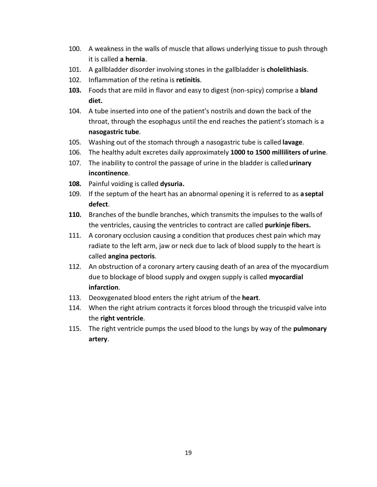- 100. A weakness in the walls of muscle that allows underlying tissue to push through it is called **a hernia**.
- 101. A gallbladder disorder involving stones in the gallbladder is **cholelithiasis**.
- 102. Inflammation of the retina is **retinitis**.
- **103.** Foods that are mild in flavor and easy to digest (non-spicy) comprise a **bland diet.**
- 104. A tube inserted into one of the patient's nostrils and down the back of the throat, through the esophagus until the end reaches the patient's stomach is a **nasogastric tube**.
- 105. Washing out of the stomach through a nasogastric tube is called **lavage**.
- 106. The healthy adult excretes daily approximately **1000 to 1500 milliliters of urine**.
- 107. The inability to control the passage of urine in the bladder is called**urinary incontinence**.
- **108.** Painful voiding is called **dysuria.**
- 109. If the septum of the heart has an abnormal opening it is referred to as **aseptal defect**.
- **110.** Branches of the bundle branches, which transmits the impulses to the walls of the ventricles, causing the ventricles to contract are called **purkinje fibers.**
- 111. A coronary occlusion causing a condition that produces chest pain which may radiate to the left arm, jaw or neck due to lack of blood supply to the heart is called **angina pectoris**.
- 112. An obstruction of a coronary artery causing death of an area of the myocardium due to blockage of blood supply and oxygen supply is called **myocardial infarction**.
- 113. Deoxygenated blood enters the right atrium of the **heart**.
- 114. When the right atrium contracts it forces blood through the tricuspid valve into the **right ventricle**.
- 115. The right ventricle pumps the used blood to the lungs by way of the **pulmonary artery**.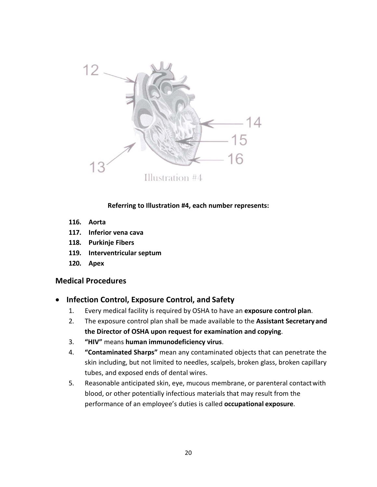

**Referring to Illustration #4, each number represents:**

- **116. Aorta**
- **117. Inferior vena cava**
- **118. Purkinje Fibers**
- **119. Interventricular septum**
- **120. Apex**

### <span id="page-19-1"></span><span id="page-19-0"></span>**Medical Procedures**

- **Infection Control, Exposure Control, and Safety**
	- 1. Every medical facility is required by OSHA to have an **exposure control plan**.
	- 2. The exposure control plan shall be made available to the **Assistant Secretaryand the Director of OSHA upon request for examination and copying**.
	- 3. **"HIV"** means **human immunodeficiency virus**.
	- 4. **"Contaminated Sharps"** mean any contaminated objects that can penetrate the skin including, but not limited to needles, scalpels, broken glass, broken capillary tubes, and exposed ends of dental wires.
	- 5. Reasonable anticipated skin, eye, mucous membrane, or parenteral contactwith blood, or other potentially infectious materials that may result from the performance of an employee's duties is called **occupational exposure**.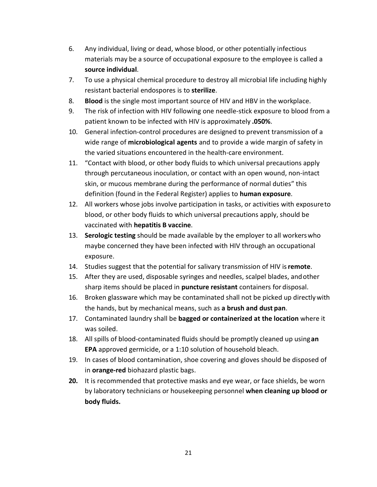- 6. Any individual, living or dead, whose blood, or other potentially infectious materials may be a source of occupational exposure to the employee is called a **source individual**.
- 7. To use a physical chemical procedure to destroy all microbial life including highly resistant bacterial endospores is to **sterilize**.
- 8. **Blood** is the single most important source of HIV and HBV in the workplace.
- 9. The risk of infection with HIV following one needle-stick exposure to blood from a patient known to be infected with HIV is approximately **.050%**.
- 10. General infection-control procedures are designed to prevent transmission of a wide range of **microbiological agents** and to provide a wide margin of safety in the varied situations encountered in the health-care environment.
- 11. "Contact with blood, or other body fluids to which universal precautions apply through percutaneous inoculation, or contact with an open wound, non-intact skin, or mucous membrane during the performance of normal duties" this definition (found in the Federal Register) applies to **human exposure**.
- 12. All workers whose jobs involve participation in tasks, or activities with exposureto blood, or other body fluids to which universal precautions apply, should be vaccinated with **hepatitis B vaccine**.
- 13. **Serologic testing** should be made available by the employer to all workerswho maybe concerned they have been infected with HIV through an occupational exposure.
- 14. Studies suggest that the potential for salivary transmission of HIV is**remote**.
- 15. After they are used, disposable syringes and needles, scalpel blades, andother sharp items should be placed in **puncture resistant** containers for disposal.
- 16. Broken glassware which may be contaminated shall not be picked up directlywith the hands, but by mechanical means, such as **a brush and dust pan**.
- 17. Contaminated laundry shall be **bagged or containerized at the location** where it was soiled.
- 18. All spills of blood-contaminated fluids should be promptly cleaned up using**an EPA** approved germicide, or a 1:10 solution of household bleach.
- 19. In cases of blood contamination, shoe covering and gloves should be disposed of in **orange-red** biohazard plastic bags.
- **20.** It is recommended that protective masks and eye wear, or face shields, be worn by laboratory technicians or housekeeping personnel **when cleaning up blood or body fluids.**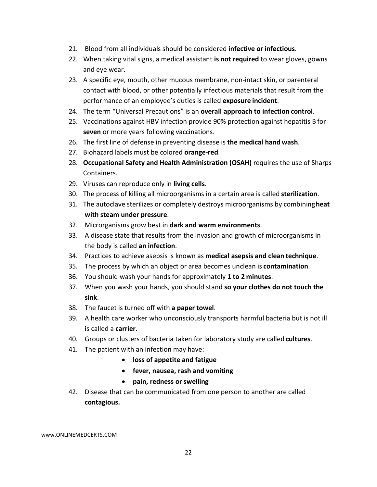- 21. Blood from all individuals should be considered **infective or infectious**.
- 22. When taking vital signs, a medical assistant **is not required** to wear gloves, gowns and eye wear.
- 23. A specific eye, mouth, other mucous membrane, non-intact skin, or parenteral contact with blood, or other potentially infectious materials that result from the performance of an employee's duties is called **exposure incident**.
- 24. The term "Universal Precautions" is an **overall approach to infection control**.
- 25. Vaccinations against HBV infection provide 90% protection against hepatitis B for **seven** or more years following vaccinations.
- 26. The first line of defense in preventing disease is **the medical hand wash**.
- 27. Biohazard labels must be colored **orange-red**.
- 28. **Occupational Safety and Health Administration (OSAH)** requires the use of Sharps Containers.
- 29. Viruses can reproduce only in **living cells**.
- 30. The process of killing all microorganisms in a certain area is called **sterilization**.
- 31. The autoclave sterilizes or completely destroys microorganisms by combining**heat with steam under pressure**.
- 32. Microrganisms grow best in **dark and warm environments**.
- 33. A disease state that results from the invasion and growth of microorganisms in the body is called **an infection**.
- 34. Practices to achieve asepsis is known as **medical asepsis and clean technique**.
- 35. The process by which an object or area becomes unclean is **contamination**.
- 36. You should wash your hands for approximately **1 to 2 minutes**.
- 37. When you wash your hands, you should stand **so your clothes do not touch the sink**.
- 38. The faucet is turned off with **a paper towel**.
- 39. A health care worker who unconsciously transports harmful bacteria but is not ill is called a **carrier**.
- 40. Groups or clusters of bacteria taken for laboratory study are called **cultures**.
- 41. The patient with an infection may have:
	- **loss of appetite and fatigue**
	- **fever, nausea, rash and vomiting**
	- **pain, redness or swelling**
- 42. Disease that can be communicated from one person to another are called **contagious.**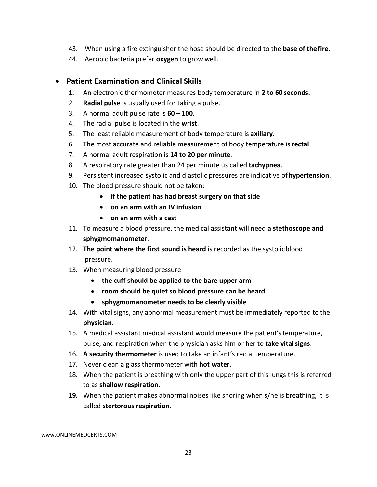- 43. When using a fire extinguisher the hose should be directed to the **base of thefire**.
- 44. Aerobic bacteria prefer **oxygen** to grow well.

## <span id="page-22-0"></span>• **Patient Examination and Clinical Skills**

- **1.** An electronic thermometer measures body temperature in **2 to 60 seconds.**
- 2. **Radial pulse** is usually used for taking a pulse.
- 3. A normal adult pulse rate is **60 – 100**.
- 4. The radial pulse is located in the **wrist**.
- 5. The least reliable measurement of body temperature is **axillary**.
- 6. The most accurate and reliable measurement of body temperature is **rectal**.
- 7. A normal adult respiration is **14 to 20 per minute**.
- 8. A respiratory rate greater than 24 per minute us called **tachypnea**.
- 9. Persistent increased systolic and diastolic pressures are indicative of**hypertension**.
- 10. The blood pressure should not be taken:
	- **if the patient has had breast surgery on that side**
	- **on an arm with an IV infusion**
	- **on an arm with a cast**
- 11. To measure a blood pressure, the medical assistant will need **a stethoscope and sphygmomanometer**.
- 12. **The point where the first sound is heard** is recorded as the systolicblood pressure.
- 13. When measuring blood pressure
	- **the cuff should be applied to the bare upper arm**
	- **room should be quiet so blood pressure can be heard**
	- **sphygmomanometer needs to be clearly visible**
- 14. With vital signs, any abnormal measurement must be immediately reported to the **physician**.
- 15. A medical assistant medical assistant would measure the patient'stemperature, pulse, and respiration when the physician asks him or her to **take vitalsigns**.
- 16. **A security thermometer** is used to take an infant's rectal temperature.
- 17. Never clean a glass thermometer with **hot water**.
- 18. When the patient is breathing with only the upper part of this lungs this is referred to as **shallow respiration**.
- **19.** When the patient makes abnormal noises like snoring when s/he is breathing, it is called **stertorous respiration.**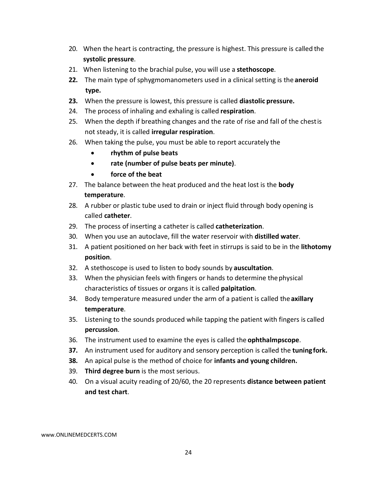- 20. When the heart is contracting, the pressure is highest. This pressure is called the **systolic pressure**.
- 21. When listening to the brachial pulse, you will use a **stethoscope**.
- **22.** The main type of sphygmomanometers used in a clinical setting is the **aneroid type.**
- **23.** When the pressure is lowest, this pressure is called **diastolic pressure.**
- 24. The process of inhaling and exhaling is called **respiration**.
- 25. When the depth if breathing changes and the rate of rise and fall of the chestis not steady, it is called **irregular respiration**.
- 26. When taking the pulse, you must be able to report accurately the
	- **rhythm of pulse beats**
	- **rate (number of pulse beats per minute)**.
	- **force of the beat**
- 27. The balance between the heat produced and the heat lost is the **body temperature**.
- 28. A rubber or plastic tube used to drain or inject fluid through body opening is called **catheter**.
- 29. The process of inserting a catheter is called **catheterization**.
- 30. When you use an autoclave, fill the water reservoir with **distilled water**.
- 31. A patient positioned on her back with feet in stirrups is said to be in the **lithotomy position**.
- 32. A stethoscope is used to listen to body sounds by **auscultation**.
- 33. When the physician feels with fingers or hands to determine thephysical characteristics of tissues or organs it is called **palpitation**.
- 34. Body temperature measured under the arm of a patient is called the **axillary temperature**.
- 35. Listening to the sounds produced while tapping the patient with fingers is called **percussion**.
- 36. The instrument used to examine the eyes is called the **ophthalmpscope**.
- **37.** An instrument used for auditory and sensory perception is called the **tuningfork.**
- **38.** An apical pulse is the method of choice for **infants and young children.**
- 39. **Third degree burn** is the most serious.
- 40. On a visual acuity reading of 20/60, the 20 represents **distance between patient and test chart**.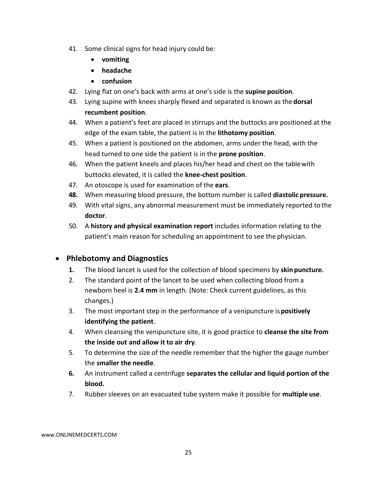- 41. Some clinical signs for head injury could be:
	- **vomiting**
	- **headache**
	- **confusion**
- 42. Lying flat on one's back with arms at one's side is the **supine position**.
- 43. Lying supine with knees sharply flexed and separated is known as the**dorsal recumbent position**.
- 44. When a patient's feet are placed in stirrups and the buttocks are positioned at the edge of the exam table, the patient is in the **lithotomy position**.
- 45. When a patient is positioned on the abdomen, arms under the head, with the head turned to one side the patient is in the **prone position**.
- 46. When the patient kneels and places his/her head and chest on the tablewith buttocks elevated, it is called the **knee-chest position**.
- 47. An otoscope is used for examination of the **ears**.
- **48.** When measuring blood pressure, the bottom number is called **diastolic pressure.**
- 49. With vital signs, any abnormal measurement must be immediately reported to the **doctor**.
- 50. A **history and physical examination report** includes information relating to the patient's main reason for scheduling an appointment to see the physician.

# <span id="page-24-0"></span>• **Phlebotomy and Diagnostics**

- **1.** The blood lancet is used for the collection of blood specimens by **skin puncture.**
- 2. The standard point of the lancet to be used when collecting blood from a newborn heel is **2.4 mm** in length. (Note: Check current guidelines, as this changes.)
- 3. The most important step in the performance of a venipuncture is**positively identifying the patient**.
- 4. When cleansing the venipuncture site, it is good practice to **cleanse the site from the inside out and allow it to air dry**.
- 5. To determine the size of the needle remember that the higher the gauge number the **smaller the needle**.
- **6.** An instrument called a centrifuge **separates the cellular and liquid portion of the blood.**
- 7. Rubber sleeves on an evacuated tube system make it possible for **multiple use**.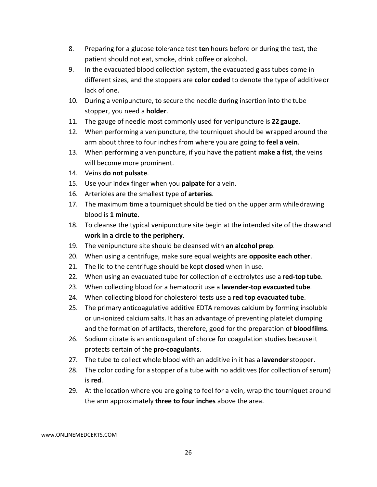- 8. Preparing for a glucose tolerance test **ten** hours before or during the test, the patient should not eat, smoke, drink coffee or alcohol.
- 9. In the evacuated blood collection system, the evacuated glass tubes come in different sizes, and the stoppers are **color coded** to denote the type of additiveor lack of one.
- 10. During a venipuncture, to secure the needle during insertion into the tube stopper, you need a **holder**.
- 11. The gauge of needle most commonly used for venipuncture is **22 gauge**.
- 12. When performing a venipuncture, the tourniquet should be wrapped around the arm about three to four inches from where you are going to **feel a vein**.
- 13. When performing a venipuncture, if you have the patient **make a fist**, the veins will become more prominent.
- 14. Veins **do not pulsate**.
- 15. Use your index finger when you **palpate** for a vein.
- 16. Arterioles are the smallest type of **arteries**.
- 17. The maximum time a tourniquet should be tied on the upper arm whiledrawing blood is **1 minute**.
- 18. To cleanse the typical venipuncture site begin at the intended site of the drawand **work in a circle to the periphery**.
- 19. The venipuncture site should be cleansed with **an alcohol prep**.
- 20. When using a centrifuge, make sure equal weights are **opposite each other**.
- 21. The lid to the centrifuge should be kept **closed** when in use.
- 22. When using an evacuated tube for collection of electrolytes use a **red-top tube**.
- 23. When collecting blood for a hematocrit use a **lavender-top evacuated tube**.
- 24. When collecting blood for cholesterol tests use a **red top evacuated tube**.
- 25. The primary anticoagulative additive EDTA removes calcium by forming insoluble or un-ionized calcium salts. It has an advantage of preventing platelet clumping and the formation of artifacts, therefore, good for the preparation of **bloodfilms**.
- 26. Sodium citrate is an anticoagulant of choice for coagulation studies because it protects certain of the **pro-coagulants**.
- 27. The tube to collect whole blood with an additive in it has a **lavender**stopper.
- 28. The color coding for a stopper of a tube with no additives (for collection of serum) is **red**.
- 29. At the location where you are going to feel for a vein, wrap the tourniquet around the arm approximately **three to four inches** above the area.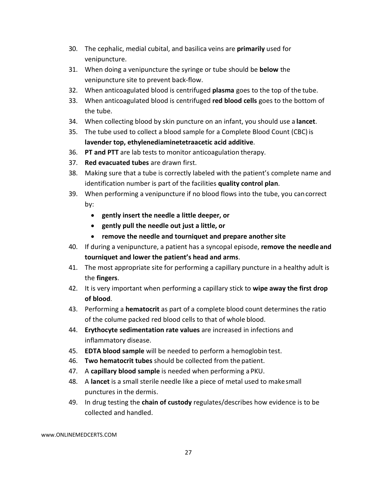- 30. The cephalic, medial cubital, and basilica veins are **primarily** used for venipuncture.
- 31. When doing a venipuncture the syringe or tube should be **below** the venipuncture site to prevent back-flow.
- 32. When anticoagulated blood is centrifuged **plasma** goes to the top of the tube.
- 33. When anticoagulated blood is centrifuged **red blood cells** goes to the bottom of the tube.
- 34. When collecting blood by skin puncture on an infant, you should use a **lancet**.
- 35. The tube used to collect a blood sample for a Complete Blood Count (CBC) is **lavender top, ethylenediaminetetraacetic acid additive**.
- 36. **PT and PTT** are lab tests to monitor anticoagulation therapy.
- 37. **Red evacuated tubes** are drawn first.
- 38. Making sure that a tube is correctly labeled with the patient's complete name and identification number is part of the facilities **quality control plan**.
- 39. When performing a venipuncture if no blood flows into the tube, you cancorrect by:
	- **gently insert the needle a little deeper, or**
	- **gently pull the needle out just a little, or**
	- **remove the needle and tourniquet and prepare anothersite**
- 40. If during a venipuncture, a patient has a syncopal episode, **remove the needleand tourniquet and lower the patient's head and arms**.
- 41. The most appropriate site for performing a capillary puncture in a healthy adult is the **fingers**.
- 42. It is very important when performing a capillary stick to **wipe away the first drop of blood**.
- 43. Performing a **hematocrit** as part of a complete blood count determines the ratio of the colume packed red blood cells to that of whole blood.
- 44. **Erythocyte sedimentation rate values** are increased in infections and inflammatory disease.
- 45. **EDTA blood sample** will be needed to perform a hemoglobin test.
- 46. **Two hematocrit tubes** should be collected from the patient.
- 47. A **capillary blood sample** is needed when performing a PKU.
- 48. A **lancet** is a small sterile needle like a piece of metal used to makesmall punctures in the dermis.
- 49. In drug testing the **chain of custody** regulates/describes how evidence is to be collected and handled.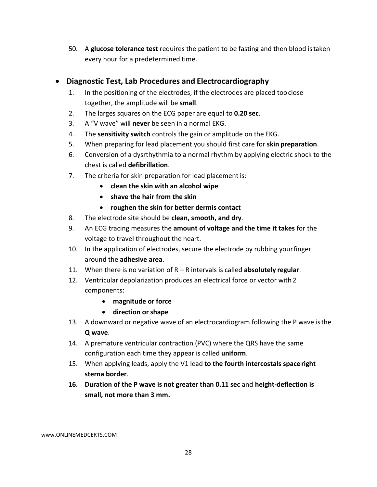50. A **glucose tolerance test** requires the patient to be fasting and then blood istaken every hour for a predetermined time.

## <span id="page-27-0"></span>• **Diagnostic Test, Lab Procedures and Electrocardiography**

- 1. In the positioning of the electrodes, if the electrodes are placed tooclose together, the amplitude will be **small**.
- 2. The larges squares on the ECG paper are equal to **0.20 sec**.
- 3. A "V wave" will **never** be seen in a normal EKG.
- 4. The **sensitivity switch** controls the gain or amplitude on the EKG.
- 5. When preparing for lead placement you should first care for **skin preparation**.
- 6. Conversion of a dysrthythmia to a normal rhythm by applying electric shock to the chest is called **defibrillation**.
- 7. The criteria for skin preparation for lead placement is:
	- **clean the skin with an alcohol wipe**
	- **shave the hair from the skin**
	- **roughen the skin for better dermis contact**
- 8. The electrode site should be **clean, smooth, and dry**.
- 9. An ECG tracing measures the **amount of voltage and the time it takes** for the voltage to travel throughout the heart.
- 10. In the application of electrodes, secure the electrode by rubbing yourfinger around the **adhesive area**.
- 11. When there is no variation of R R intervals is called **absolutely regular**.
- 12. Ventricular depolarization produces an electrical force or vector with 2 components:
	- **magnitude or force**
	- **direction or shape**
- 13. A downward or negative wave of an electrocardiogram following the P wave isthe **Q wave**.
- 14. A premature ventricular contraction (PVC) where the QRS have the same configuration each time they appear is called **uniform**.
- 15. When applying leads, apply the V1 lead **to the fourth intercostals spaceright sterna border**.
- **16. Duration of the P wave is not greater than 0.11 sec** and **height-deflection is small, not more than 3 mm.**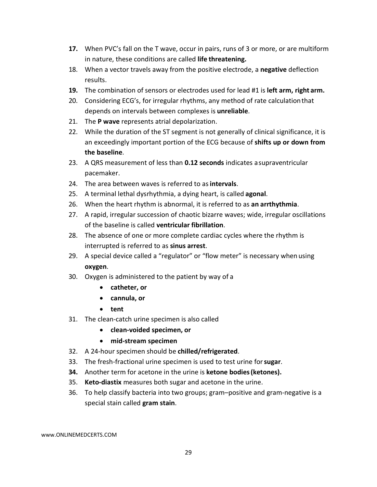- **17.** When PVC's fall on the T wave, occur in pairs, runs of 3 or more, or are multiform in nature, these conditions are called **life threatening.**
- 18. When a vector travels away from the positive electrode, a **negative** deflection results.
- **19.** The combination of sensors or electrodes used for lead #1 is **left arm, right arm.**
- 20. Considering ECG's, for irregular rhythms, any method of rate calculationthat depends on intervals between complexes is **unreliable**.
- 21. The **P wave** represents atrial depolarization.
- 22. While the duration of the ST segment is not generally of clinical significance, it is an exceedingly important portion of the ECG because of **shifts up or down from the baseline**.
- 23. A QRS measurement of less than **0.12 seconds** indicates asupraventricular pacemaker.
- 24. The area between waves is referred to as**intervals**.
- 25. A terminal lethal dysrhythmia, a dying heart, is called **agonal**.
- 26. When the heart rhythm is abnormal, it is referred to as **an arrthythmia**.
- 27. A rapid, irregular succession of chaotic bizarre waves; wide, irregular oscillations of the baseline is called **ventricular fibrillation**.
- 28. The absence of one or more complete cardiac cycles where the rhythm is interrupted is referred to as **sinus arrest**.
- 29. A special device called a "regulator" or "flow meter" is necessary when using **oxygen**.
- 30. Oxygen is administered to the patient by way of a
	- **catheter, or**
	- **cannula, or**
	- **tent**
- 31. The clean-catch urine specimen is also called
	- **clean-voided specimen, or**
	- **mid-stream specimen**
- 32. A 24-hour specimen should be **chilled/refrigerated**.
- 33. The fresh-fractional urine specimen is used to test urine for**sugar**.
- **34.** Another term for acetone in the urine is **ketone bodies(ketones).**
- 35. **Keto-diastix** measures both sugar and acetone in the urine.
- 36. To help classify bacteria into two groups; gram–positive and gram-negative is a special stain called **gram stain**.